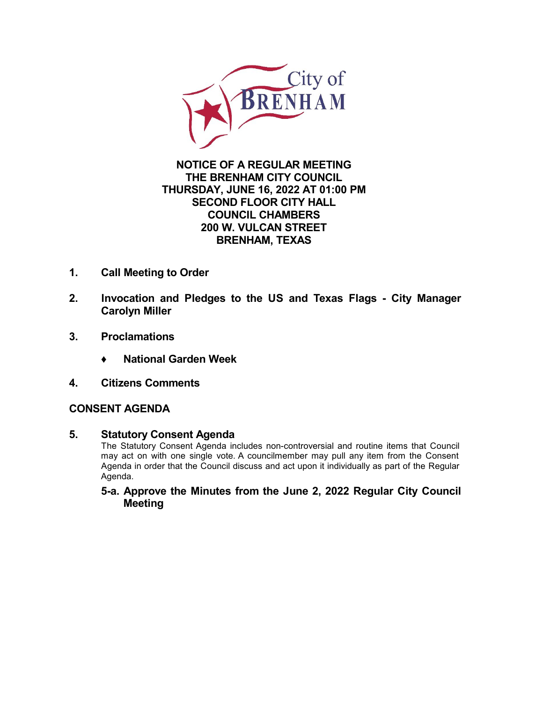

## **NOTICE OF A REGULAR MEETING THE BRENHAM CITY COUNCIL THURSDAY, JUNE 16, 2022 AT 01:00 PM SECOND FLOOR CITY HALL COUNCIL CHAMBERS 200 W. VULCAN STREET BRENHAM, TEXAS**

- **1. Call Meeting to Order**
- **2. Invocation and Pledges to the US and Texas Flags - City Manager Carolyn Miller**
- **3. Proclamations**
	- **♦ [National](http://packets.shea.agendease.com/getdoc.php?cID=10000135&bID=217&mID=5708&iID=50762) Garden Week**
- **4. Citizens Comments**

### **CONSENT AGENDA**

**5. Statutory Consent Agenda**

The Statutory Consent Agenda includes non-controversial and routine items that Council may act on with one single vote. A councilmember may pullany item from the Consent Agenda in order that the Council discuss and act upon it individually as part of the Regular Agenda.

#### **5-a. [Approve](http://packets.shea.agendease.com/getdoc.php?cID=10000135&bID=217&mID=5708&iID=50550) the Minutes from the June 2, 2022 Regular City Council Meeting**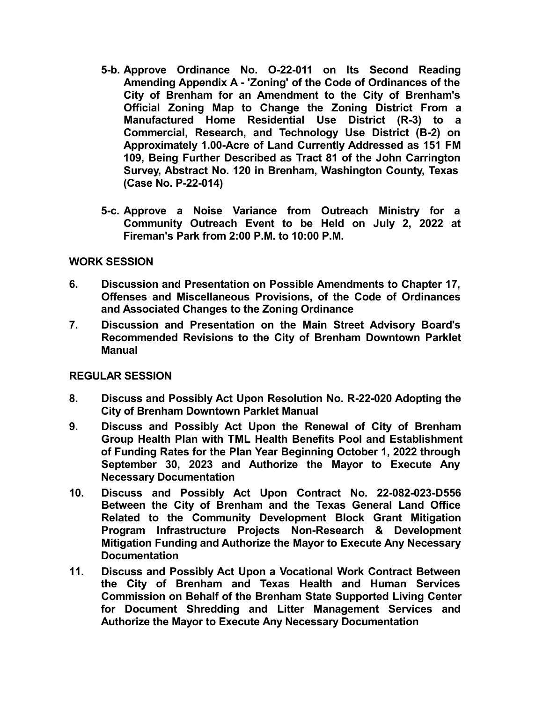- **5-b. Approve Ordinance No. O-22-011 on Its Second Reading Amending Appendix A - 'Zoning' of the Code of Ordinances of the City of Brenham for an Amendment to the City of Brenham's Official Zoning Map to Change the Zoning District From a Manufactured Home Residential Use District (R-3) to a Commercial, Research, and Technology Use District (B-2) on [Approximately](http://packets.shea.agendease.com/getdoc.php?cID=10000135&bID=217&mID=5708&iID=50552) 1.00-Acre of Land Currently Addressed as 151 FM 109, Being Further Described as Tract 81 of the John Carrington Survey, Abstract No. 120 in Brenham, Washington County, Texas (Case No. P-22-014)**
- **5-c. Approve a Noise Variance from Outreach Ministry for a [Community](http://packets.shea.agendease.com/getdoc.php?cID=10000135&bID=217&mID=5708&iID=49610) Outreach Event to be Held on July 2, 2022 at Fireman's Park from 2:00 P.M. to 10:00 P.M.**

### **WORK SESSION**

- **6. Discussion and Presentation on Possible Amendments to Chapter 17, Offenses and [Miscellaneous](http://packets.shea.agendease.com/getdoc.php?cID=10000135&bID=217&mID=5708&iID=50151) Provisions, of the Code of Ordinances and Associated Changes to the Zoning Ordinance**
- **7. Discussion and Presentation on the Main Street Advisory Board's [Recommended](http://packets.shea.agendease.com/getdoc.php?cID=10000135&bID=217&mID=5708&iID=50438) Revisions to the City of Brenham Downtown Parklet Manual**

### **REGULAR SESSION**

- **8. Discuss and Possibly Act Upon [Resolution](http://packets.shea.agendease.com/getdoc.php?cID=10000135&bID=217&mID=5708&iID=49782) No. R-22-020 Adopting the City of Brenham Downtown Parklet Manual**
- **9. Discuss and Possibly Act Upon the Renewal of City of Brenham Group Health Plan with TML Health Benefits Pool and Establishment of Funding Rates for the Plan Year Beginning October 1, 2022 through September 30, 2023 and Authorize the Mayor to Execute Any Necessary [Documentation](http://packets.shea.agendease.com/getdoc.php?cID=10000135&bID=217&mID=5708&iID=49818)**
- **10. Discuss and Possibly Act Upon Contract No. [22-082-023-D556](http://packets.shea.agendease.com/getdoc.php?cID=10000135&bID=217&mID=5708&iID=50538) Between the City of Brenham and the Texas General Land Office Related to the Community Development Block Grant Mitigation Program Infrastructure Projects Non-Research & Development Mitigation Funding and Authorize the Mayor to Execute Any Necessary Documentation**
- **11. Discuss and Possibly Act Upon a Vocational Work Contract Between the City of Brenham and Texas Health and Human Services Commission on Behalf of the Brenham State Supported Living Center for Document Shredding and Litter Management Services and Authorize the Mayor to Execute Any Necessary [Documentation](http://packets.shea.agendease.com/getdoc.php?cID=10000135&bID=217&mID=5708&iID=48907)**